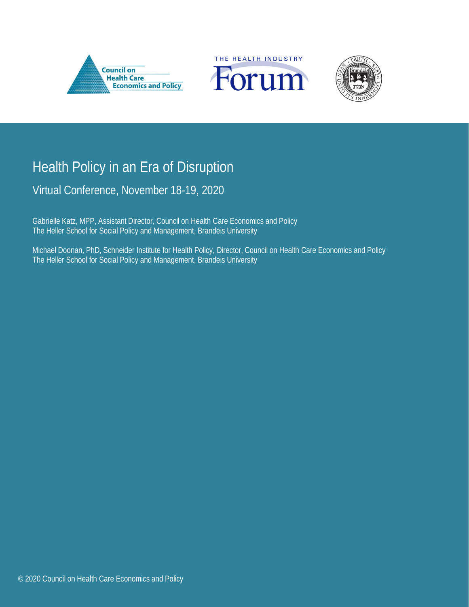





# Health Policy in an Era of Disruption

Virtual Conference, November 18-19, 2020

Gabrielle Katz, MPP, Assistant Director, Council on Health Care Economics and Policy The Heller School for Social Policy and Management, Brandeis University

Michael Doonan, PhD, Schneider Institute for Health Policy, Director, Council on Health Care Economics and Policy The Heller School for Social Policy and Management, Brandeis University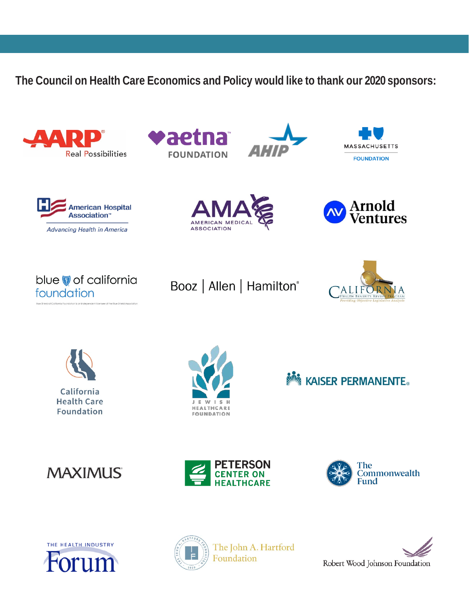**The Council on Health Care Economics and Policy would like to thank our 2020 sponsors:**







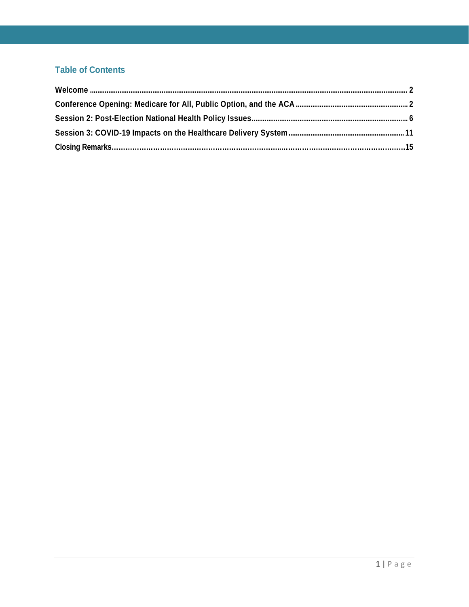# **Table of Contents**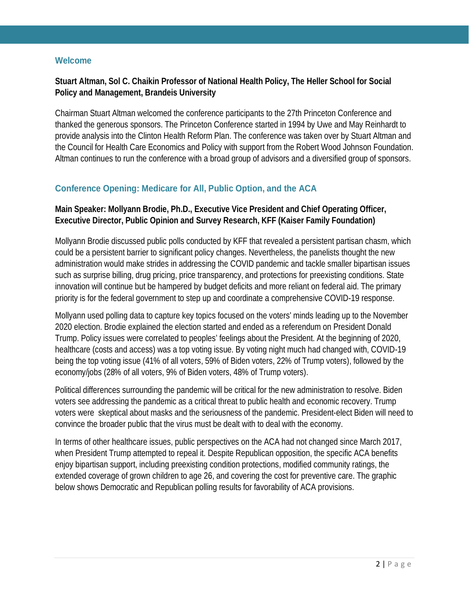### <span id="page-3-0"></span>**Welcome**

### **Stuart Altman, Sol C. Chaikin Professor of National Health Policy, The Heller School for Social Policy and Management, Brandeis University**

Chairman Stuart Altman welcomed the conference participants to the 27th Princeton Conference and thanked the generous sponsors. The Princeton Conference started in 1994 by Uwe and May Reinhardt to provide analysis into the Clinton Health Reform Plan. The conference was taken over by Stuart Altman and the Council for Health Care Economics and Policy with support from the Robert Wood Johnson Foundation. Altman continues to run the conference with a broad group of advisors and a diversified group of sponsors.

### <span id="page-3-1"></span>**Conference Opening: Medicare for All, Public Option, and the ACA**

### **Main Speaker: Mollyann Brodie, Ph.D., Executive Vice President and Chief Operating Officer, Executive Director, Public Opinion and Survey Research, KFF (Kaiser Family Foundation)**

Mollyann Brodie discussed public polls conducted by KFF that revealed a persistent partisan chasm, which could be a persistent barrier to significant policy changes. Nevertheless, the panelists thought the new administration would make strides in addressing the COVID pandemic and tackle smaller bipartisan issues such as surprise billing, drug pricing, price transparency, and protections for preexisting conditions. State innovation will continue but be hampered by budget deficits and more reliant on federal aid. The primary priority is for the federal government to step up and coordinate a comprehensive COVID-19 response.

Mollyann used polling data to capture key topics focused on the voters' minds leading up to the November 2020 election. Brodie explained the election started and ended as a referendum on President Donald Trump. Policy issues were correlated to peoples' feelings about the President. At the beginning of 2020, healthcare (costs and access) was a top voting issue. By voting night much had changed with, COVID-19 being the top voting issue (41% of all voters, 59% of Biden voters, 22% of Trump voters), followed by the economy/jobs (28% of all voters, 9% of Biden voters, 48% of Trump voters).

Political differences surrounding the pandemic will be critical for the new administration to resolve. Biden voters see addressing the pandemic as a critical threat to public health and economic recovery. Trump voters were skeptical about masks and the seriousness of the pandemic. President-elect Biden will need to convince the broader public that the virus must be dealt with to deal with the economy.

In terms of other healthcare issues, public perspectives on the ACA had not changed since March 2017, when President Trump attempted to repeal it. Despite Republican opposition, the specific ACA benefits enjoy bipartisan support, including preexisting condition protections, modified community ratings, the extended coverage of grown children to age 26, and covering the cost for preventive care. The graphic below shows Democratic and Republican polling results for favorability of ACA provisions.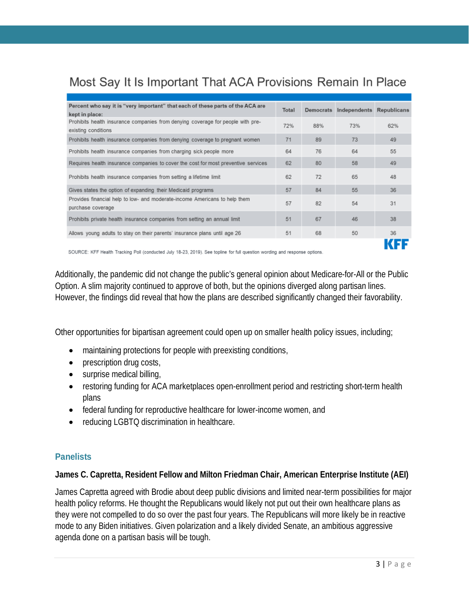# Most Say It Is Important That ACA Provisions Remain In Place

| Percent who say it is "very important" that each of these parts of the ACA are<br>kept in place:       | Total |     | Democrats Independents | <b>Republicans</b> |
|--------------------------------------------------------------------------------------------------------|-------|-----|------------------------|--------------------|
| Prohibits health insurance companies from denying coverage for people with pre-<br>existing conditions | 72%   | 88% | 73%                    | 62%                |
| Prohibits health insurance companies from denying coverage to pregnant women                           | 71    | 89  | 73                     | 49                 |
| Prohibits health insurance companies from charging sick people more                                    | 64    | 76  | 64                     | 55                 |
| Requires health insurance companies to cover the cost for most preventive services                     | 62    | 80  | 58                     | 49                 |
| Prohibits health insurance companies from setting a lifetime limit                                     | 62    | 72  | 65                     | 48                 |
| Gives states the option of expanding their Medicaid programs                                           | 57    | 84  | 55                     | 36                 |
| Provides financial help to low- and moderate-income Americans to help them<br>purchase coverage        | 57    | 82  | 54                     | 31                 |
| Prohibits private health insurance companies from setting an annual limit                              | 51    | 67  | 46                     | 38                 |
| Allows young adults to stay on their parents' insurance plans until age 26                             | 51    | 68  | 50                     | 36                 |
|                                                                                                        |       |     |                        |                    |

SOURCE: KFF Health Tracking Poll (conducted July 18-23, 2019). See topline for full question wording and response options.

Additionally, the pandemic did not change the public's general opinion about Medicare-for-All or the Public Option. A slim majority continued to approve of both, but the opinions diverged along partisan lines. However, the findings did reveal that how the plans are described significantly changed their favorability.

Other opportunities for bipartisan agreement could open up on smaller health policy issues, including;

- maintaining protections for people with preexisting conditions,
- prescription drug costs,
- surprise medical billing,
- restoring funding for ACA marketplaces open-enrollment period and restricting short-term health plans
- federal funding for reproductive healthcare for lower-income women, and
- reducing LGBTQ discrimination in healthcare.

### **Panelists**

### **James C. Capretta, Resident Fellow and Milton Friedman Chair, American Enterprise Institute (AEI)**

James Capretta agreed with Brodie about deep public divisions and limited near-term possibilities for major health policy reforms. He thought the Republicans would likely not put out their own healthcare plans as they were not compelled to do so over the past four years. The Republicans will more likely be in reactive mode to any Biden initiatives. Given polarization and a likely divided Senate, an ambitious aggressive agenda done on a partisan basis will be tough.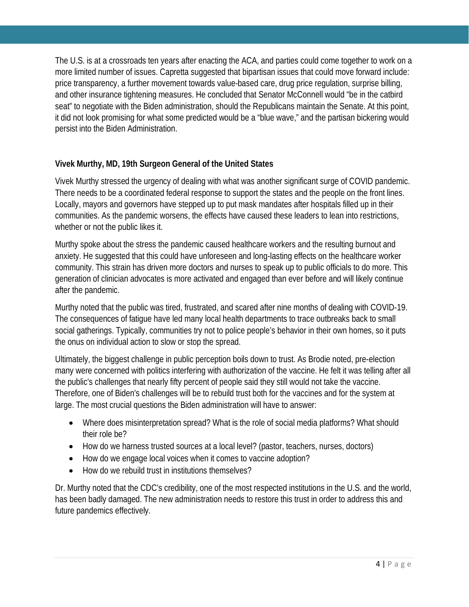The U.S. is at a crossroads ten years after enacting the ACA, and parties could come together to work on a more limited number of issues. Capretta suggested that bipartisan issues that could move forward include: price transparency, a further movement towards value-based care, drug price regulation, surprise billing, and other insurance tightening measures. He concluded that Senator McConnell would "be in the catbird seat" to negotiate with the Biden administration, should the Republicans maintain the Senate. At this point, it did not look promising for what some predicted would be a "blue wave," and the partisan bickering would persist into the Biden Administration.

# **Vivek Murthy, MD, 19th Surgeon General of the United States**

Vivek Murthy stressed the urgency of dealing with what was another significant surge of COVID pandemic. There needs to be a coordinated federal response to support the states and the people on the front lines. Locally, mayors and governors have stepped up to put mask mandates after hospitals filled up in their communities. As the pandemic worsens, the effects have caused these leaders to lean into restrictions, whether or not the public likes it.

Murthy spoke about the stress the pandemic caused healthcare workers and the resulting burnout and anxiety. He suggested that this could have unforeseen and long-lasting effects on the healthcare worker community. This strain has driven more doctors and nurses to speak up to public officials to do more. This generation of clinician advocates is more activated and engaged than ever before and will likely continue after the pandemic.

Murthy noted that the public was tired, frustrated, and scared after nine months of dealing with COVID-19. The consequences of fatigue have led many local health departments to trace outbreaks back to small social gatherings. Typically, communities try not to police people's behavior in their own homes, so it puts the onus on individual action to slow or stop the spread.

Ultimately, the biggest challenge in public perception boils down to trust. As Brodie noted, pre-election many were concerned with politics interfering with authorization of the vaccine. He felt it was telling after all the public's challenges that nearly fifty percent of people said they still would not take the vaccine. Therefore, one of Biden's challenges will be to rebuild trust both for the vaccines and for the system at large. The most crucial questions the Biden administration will have to answer:

- Where does misinterpretation spread? What is the role of social media platforms? What should their role be?
- How do we harness trusted sources at a local level? (pastor, teachers, nurses, doctors)
- How do we engage local voices when it comes to vaccine adoption?
- How do we rebuild trust in institutions themselves?

Dr. Murthy noted that the CDC's credibility, one of the most respected institutions in the U.S. and the world, has been badly damaged. The new administration needs to restore this trust in order to address this and future pandemics effectively.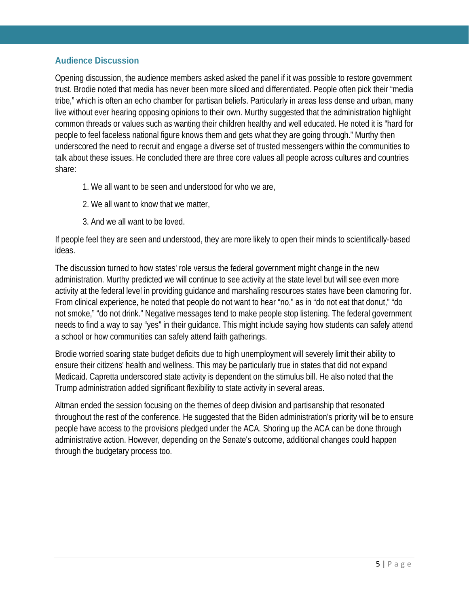## **Audience Discussion**

Opening discussion, the audience members asked asked the panel if it was possible to restore government trust. Brodie noted that media has never been more siloed and differentiated. People often pick their "media tribe," which is often an echo chamber for partisan beliefs. Particularly in areas less dense and urban, many live without ever hearing opposing opinions to their own. Murthy suggested that the administration highlight common threads or values such as wanting their children healthy and well educated. He noted it is "hard for people to feel faceless national figure knows them and gets what they are going through." Murthy then underscored the need to recruit and engage a diverse set of trusted messengers within the communities to talk about these issues. He concluded there are three core values all people across cultures and countries share:

- 1. We all want to be seen and understood for who we are,
- 2. We all want to know that we matter,
- 3. And we all want to be loved.

If people feel they are seen and understood, they are more likely to open their minds to scientifically-based ideas.

The discussion turned to how states' role versus the federal government might change in the new administration. Murthy predicted we will continue to see activity at the state level but will see even more activity at the federal level in providing guidance and marshaling resources states have been clamoring for. From clinical experience, he noted that people do not want to hear "no," as in "do not eat that donut," "do not smoke," "do not drink." Negative messages tend to make people stop listening. The federal government needs to find a way to say "yes" in their guidance. This might include saying how students can safely attend a school or how communities can safely attend faith gatherings.

Brodie worried soaring state budget deficits due to high unemployment will severely limit their ability to ensure their citizens' health and wellness. This may be particularly true in states that did not expand Medicaid. Capretta underscored state activity is dependent on the stimulus bill. He also noted that the Trump administration added significant flexibility to state activity in several areas.

Altman ended the session focusing on the themes of deep division and partisanship that resonated throughout the rest of the conference. He suggested that the Biden administration's priority will be to ensure people have access to the provisions pledged under the ACA. Shoring up the ACA can be done through administrative action. However, depending on the Senate's outcome, additional changes could happen through the budgetary process too.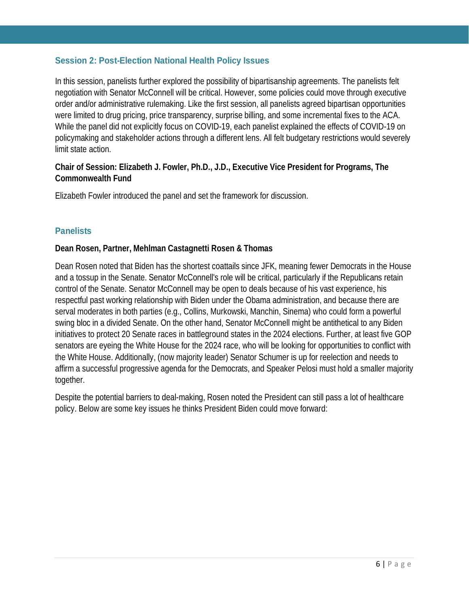## <span id="page-7-0"></span>**Session 2: Post-Election National Health Policy Issues**

In this session, panelists further explored the possibility of bipartisanship agreements. The panelists felt negotiation with Senator McConnell will be critical. However, some policies could move through executive order and/or administrative rulemaking. Like the first session, all panelists agreed bipartisan opportunities were limited to drug pricing, price transparency, surprise billing, and some incremental fixes to the ACA. While the panel did not explicitly focus on COVID-19, each panelist explained the effects of COVID-19 on policymaking and stakeholder actions through a different lens. All felt budgetary restrictions would severely limit state action.

## **Chair of Session: Elizabeth J. Fowler, Ph.D., J.D., Executive Vice President for Programs, The Commonwealth Fund**

Elizabeth Fowler introduced the panel and set the framework for discussion.

## **Panelists**

### **Dean Rosen, Partner, Mehlman Castagnetti Rosen & Thomas**

Dean Rosen noted that Biden has the shortest coattails since JFK, meaning fewer Democrats in the House and a tossup in the Senate. Senator McConnell's role will be critical, particularly if the Republicans retain control of the Senate. Senator McConnell may be open to deals because of his vast experience, his respectful past working relationship with Biden under the Obama administration, and because there are serval moderates in both parties (e.g., Collins, Murkowski, Manchin, Sinema) who could form a powerful swing bloc in a divided Senate. On the other hand, Senator McConnell might be antithetical to any Biden initiatives to protect 20 Senate races in battleground states in the 2024 elections. Further, at least five GOP senators are eyeing the White House for the 2024 race, who will be looking for opportunities to conflict with the White House. Additionally, (now majority leader) Senator Schumer is up for reelection and needs to affirm a successful progressive agenda for the Democrats, and Speaker Pelosi must hold a smaller majority together.

Despite the potential barriers to deal-making, Rosen noted the President can still pass a lot of healthcare policy. Below are some key issues he thinks President Biden could move forward: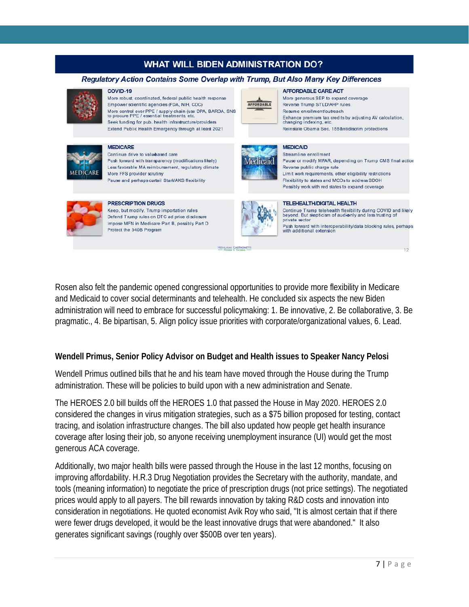# **WHAT WILL BIDEN ADMINISTRATION DO?**

#### Regulatory Action Contains Some Overlap with Trump, But Also Many Key Differences

#### COVID-19

**MEDICARE** 

More robust, coordinated, federal public health response Empower scientific agencies (EDA, NIH, CDC) More control over PPE / supply chain (use DPA, BARDA, SNS<br>to procure PPE / essential treatments, etc. Seek funding for pub. health infrastructure/providers Extend Public Health Emergency through at least 2021



Continue drive to valubased care Push forward with transparency (modifications likely) Less favorable MA reimbursement, regulatory climate

More FFS provider scrutiny Pause and perhaps curtail Stark/AKS flexibility



**PRESCRIPTION DRUGS** Keep, but modify, Trump importation rules Defend Trump rules on DTC ad price disclosure Impose MFN in Medicare Part B, possibly Part D Protect the 340B Program



**AFFORDABLE CARE ACT** More generous SEP to expand coverage Reverse Trump STI D/AHP rules Resume enrollment/outreach Enhance premium tax credits by adjusting AV calculation,<br>changing indexing, etc. Reinstate Obama Sec. 155 Antidiscrim protections

#### **MEDICAID**



Streamline enrollment Pause or modify MFAR, depending on Trump CMS final action Reverse public charge rule Limit work requirements, other eligibility restrictions Flexibility to states and MCOs to address SDOH Possibly work with red states to expand coverage

#### **TELEHEALTH/DIGITAL HEALTH**



Continue Trump telehealth flexibility during COVID and likely<br>beyond. But skepticism of audionly and less trusting of private sector

Push forward with interoperability/data blocking rules, perhaps<br>with additional extension

Rosen also felt the pandemic opened congressional opportunities to provide more flexibility in Medicare and Medicaid to cover social determinants and telehealth. He concluded six aspects the new Biden administration will need to embrace for successful policymaking: 1. Be innovative, 2. Be collaborative, 3. Be pragmatic., 4. Be bipartisan, 5. Align policy issue priorities with corporate/organizational values, 6. Lead.

MEHLMAN CASTAGNETT

## **Wendell Primus, Senior Policy Advisor on Budget and Health issues to Speaker Nancy Pelosi**

Wendell Primus outlined bills that he and his team have moved through the House during the Trump administration. These will be policies to build upon with a new administration and Senate.

The HEROES 2.0 bill builds off the HEROES 1.0 that passed the House in May 2020. HEROES 2.0 considered the changes in virus mitigation strategies, such as a \$75 billion proposed for testing, contact tracing, and isolation infrastructure changes. The bill also updated how people get health insurance coverage after losing their job, so anyone receiving unemployment insurance (UI) would get the most generous ACA coverage.

Additionally, two major health bills were passed through the House in the last 12 months, focusing on improving affordability. H.R.3 Drug Negotiation provides the Secretary with the authority, mandate, and tools (meaning information) to negotiate the price of prescription drugs (not price settings). The negotiated prices would apply to all payers. The bill rewards innovation by taking R&D costs and innovation into consideration in negotiations. He quoted economist Avik Roy who said, "It is almost certain that if there were fewer drugs developed, it would be the least innovative drugs that were abandoned." It also generates significant savings (roughly over \$500B over ten years).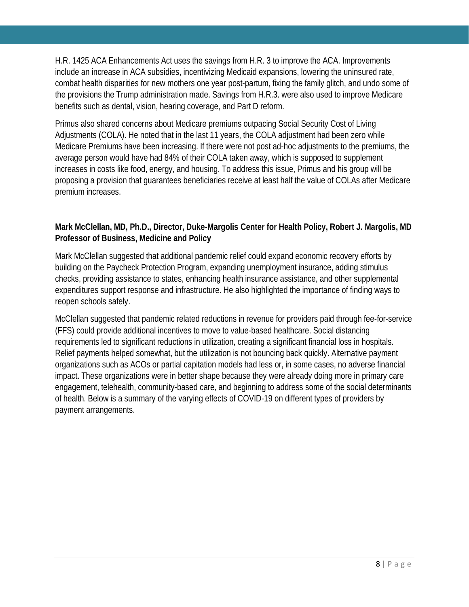H.R. 1425 ACA Enhancements Act uses the savings from H.R. 3 to improve the ACA. Improvements include an increase in ACA subsidies, incentivizing Medicaid expansions, lowering the uninsured rate, combat health disparities for new mothers one year post-partum, fixing the family glitch, and undo some of the provisions the Trump administration made. Savings from H.R.3. were also used to improve Medicare benefits such as dental, vision, hearing coverage, and Part D reform.

Primus also shared concerns about Medicare premiums outpacing Social Security Cost of Living Adjustments (COLA). He noted that in the last 11 years, the COLA adjustment had been zero while Medicare Premiums have been increasing. If there were not post ad-hoc adjustments to the premiums, the average person would have had 84% of their COLA taken away, which is supposed to supplement increases in costs like food, energy, and housing. To address this issue, Primus and his group will be proposing a provision that guarantees beneficiaries receive at least half the value of COLAs after Medicare premium increases.

## **Mark McClellan, MD, Ph.D., Director, Duke-Margolis Center for Health Policy, Robert J. Margolis, MD Professor of Business, Medicine and Policy**

Mark McClellan suggested that additional pandemic relief could expand economic recovery efforts by building on the Paycheck Protection Program, expanding unemployment insurance, adding stimulus checks, providing assistance to states, enhancing health insurance assistance, and other supplemental expenditures support response and infrastructure. He also highlighted the importance of finding ways to reopen schools safely.

McClellan suggested that pandemic related reductions in revenue for providers paid through fee-for-service (FFS) could provide additional incentives to move to value-based healthcare. Social distancing requirements led to significant reductions in utilization, creating a significant financial loss in hospitals. Relief payments helped somewhat, but the utilization is not bouncing back quickly. Alternative payment organizations such as ACOs or partial capitation models had less or, in some cases, no adverse financial impact. These organizations were in better shape because they were already doing more in primary care engagement, telehealth, community-based care, and beginning to address some of the social determinants of health. Below is a summary of the varying effects of COVID-19 on different types of providers by payment arrangements.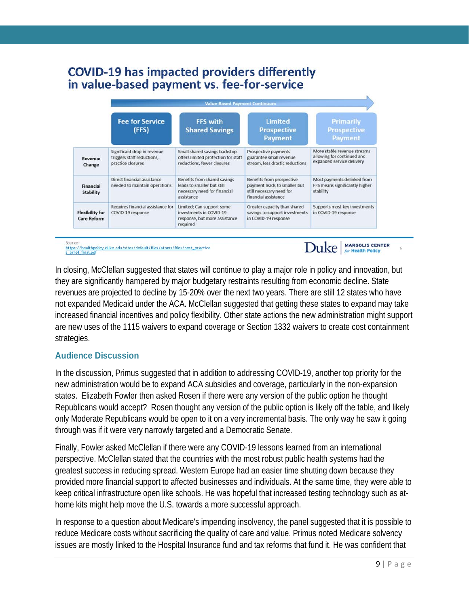# **COVID-19 has impacted providers differently** in value-based payment vs. fee-for-service

|                                              | <b>Value-Based Payment Continuum</b>                                           |                                                                                                          |                                                                                                               |                                                                                        |  |  |  |  |
|----------------------------------------------|--------------------------------------------------------------------------------|----------------------------------------------------------------------------------------------------------|---------------------------------------------------------------------------------------------------------------|----------------------------------------------------------------------------------------|--|--|--|--|
|                                              | <b>Fee for Service</b><br>(FFS)                                                | FFS with<br><b>Shared Savings</b>                                                                        | <b>Limited</b><br><b>Prospective</b><br>Payment                                                               | <b>Primarily</b><br><b>Prospective</b><br><b>Payment</b>                               |  |  |  |  |
| Revenue<br>Change                            | Significant drop in revenue<br>triggers staff reductions,<br>practice closures | Small shared savings backstop<br>offers limited protection for staff<br>reductions, fewer closures       | Prospective payments<br>guarantee small revenue<br>stream, less drastic reductions                            | More stable revenue streams<br>allowing for continued and<br>expanded service delivery |  |  |  |  |
| Financial<br>Stability                       | Direct financial assistance<br>needed to maintain operations                   | Benefits from shared savings<br>leads to smaller but still<br>necessary need for financial<br>assistance | Benefits from prospective<br>payment leads to smaller but<br>still necessary need for<br>financial assistance | Most payments delinked from<br>FFS means significantly higher<br>stability             |  |  |  |  |
| <b>Flexibility for</b><br><b>Care Reform</b> | Requires financial assistance for<br>COVID-19 response                         | Limited; Can support some<br>investments in COVID-19<br>response, but more assistance<br>required        | Greater capacity than shared<br>savings to support investments<br>in COVID-19 response                        | Supports most key investments<br>in COVID-19 response                                  |  |  |  |  |

Source:<br>https://healthpolicy.duke.edu/sites/default/files/atoms/files/best\_practice<br>s\_brief\_final.odf

**MARGOLIS CENTER** Duke **Health Polic** 

In closing, McClellan suggested that states will continue to play a major role in policy and innovation, but they are significantly hampered by major budgetary restraints resulting from economic decline. State revenues are projected to decline by 15-20% over the next two years. There are still 12 states who have not expanded Medicaid under the ACA. McClellan suggested that getting these states to expand may take increased financial incentives and policy flexibility. Other state actions the new administration might support are new uses of the 1115 waivers to expand coverage or Section 1332 waivers to create cost containment strategies.

# **Audience Discussion**

In the discussion, Primus suggested that in addition to addressing COVID-19, another top priority for the new administration would be to expand ACA subsidies and coverage, particularly in the non-expansion states. Elizabeth Fowler then asked Rosen if there were any version of the public option he thought Republicans would accept? Rosen thought any version of the public option is likely off the table, and likely only Moderate Republicans would be open to it on a very incremental basis. The only way he saw it going through was if it were very narrowly targeted and a Democratic Senate.

Finally, Fowler asked McClellan if there were any COVID-19 lessons learned from an international perspective. McClellan stated that the countries with the most robust public health systems had the greatest success in reducing spread. Western Europe had an easier time shutting down because they provided more financial support to affected businesses and individuals. At the same time, they were able to keep critical infrastructure open like schools. He was hopeful that increased testing technology such as athome kits might help move the U.S. towards a more successful approach.

In response to a question about Medicare's impending insolvency, the panel suggested that it is possible to reduce Medicare costs without sacrificing the quality of care and value. Primus noted Medicare solvency issues are mostly linked to the Hospital Insurance fund and tax reforms that fund it. He was confident that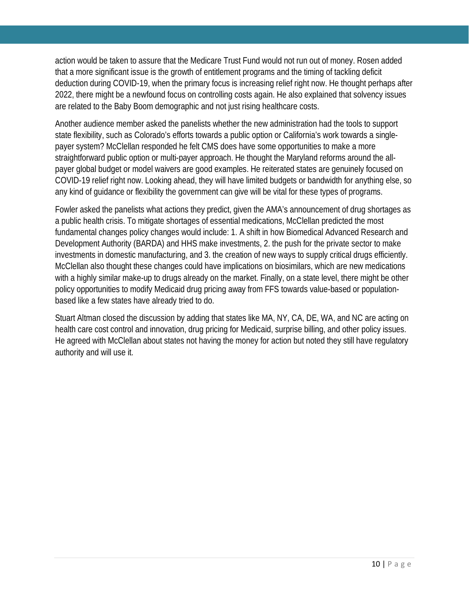action would be taken to assure that the Medicare Trust Fund would not run out of money. Rosen added that a more significant issue is the growth of entitlement programs and the timing of tackling deficit deduction during COVID-19, when the primary focus is increasing relief right now. He thought perhaps after 2022, there might be a newfound focus on controlling costs again. He also explained that solvency issues are related to the Baby Boom demographic and not just rising healthcare costs.

Another audience member asked the panelists whether the new administration had the tools to support state flexibility, such as Colorado's efforts towards a public option or California's work towards a singlepayer system? McClellan responded he felt CMS does have some opportunities to make a more straightforward public option or multi-payer approach. He thought the Maryland reforms around the allpayer global budget or model waivers are good examples. He reiterated states are genuinely focused on COVID-19 relief right now. Looking ahead, they will have limited budgets or bandwidth for anything else, so any kind of guidance or flexibility the government can give will be vital for these types of programs.

Fowler asked the panelists what actions they predict, given the AMA's announcement of drug shortages as a public health crisis. To mitigate shortages of essential medications, McClellan predicted the most fundamental changes policy changes would include: 1. A shift in how Biomedical Advanced Research and Development Authority (BARDA) and HHS make investments, 2. the push for the private sector to make investments in domestic manufacturing, and 3. the creation of new ways to supply critical drugs efficiently. McClellan also thought these changes could have implications on biosimilars, which are new medications with a highly similar make-up to drugs already on the market. Finally, on a state level, there might be other policy opportunities to modify Medicaid drug pricing away from FFS towards value-based or populationbased like a few states have already tried to do.

Stuart Altman closed the discussion by adding that states like MA, NY, CA, DE, WA, and NC are acting on health care cost control and innovation, drug pricing for Medicaid, surprise billing, and other policy issues. He agreed with McClellan about states not having the money for action but noted they still have regulatory authority and will use it.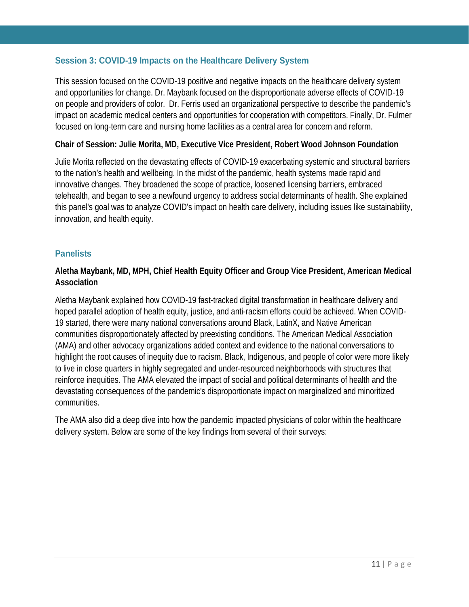## <span id="page-12-0"></span>**Session 3: COVID-19 Impacts on the Healthcare Delivery System**

This session focused on the COVID-19 positive and negative impacts on the healthcare delivery system and opportunities for change. Dr. Maybank focused on the disproportionate adverse effects of COVID-19 on people and providers of color. Dr. Ferris used an organizational perspective to describe the pandemic's impact on academic medical centers and opportunities for cooperation with competitors. Finally, Dr. Fulmer focused on long-term care and nursing home facilities as a central area for concern and reform.

### **Chair of Session: Julie Morita, MD, Executive Vice President, Robert Wood Johnson Foundation**

Julie Morita reflected on the devastating effects of COVID-19 exacerbating systemic and structural barriers to the nation's health and wellbeing. In the midst of the pandemic, health systems made rapid and innovative changes. They broadened the scope of practice, loosened licensing barriers, embraced telehealth, and began to see a newfound urgency to address social determinants of health. She explained this panel's goal was to analyze COVID's impact on health care delivery, including issues like sustainability, innovation, and health equity.

### **Panelists**

## **Aletha Maybank, MD, MPH, Chief Health Equity Officer and Group Vice President, American Medical Association**

Aletha Maybank explained how COVID-19 fast-tracked digital transformation in healthcare delivery and hoped parallel adoption of health equity, justice, and anti-racism efforts could be achieved. When COVID-19 started, there were many national conversations around Black, LatinX, and Native American communities disproportionately affected by preexisting conditions. The American Medical Association (AMA) and other advocacy organizations added context and evidence to the national conversations to highlight the root causes of inequity due to racism. Black, Indigenous, and people of color were more likely to live in close quarters in highly segregated and under-resourced neighborhoods with structures that reinforce inequities. The AMA elevated the impact of social and political determinants of health and the devastating consequences of the pandemic's disproportionate impact on marginalized and minoritized communities.

The AMA also did a deep dive into how the pandemic impacted physicians of color within the healthcare delivery system. Below are some of the key findings from several of their surveys: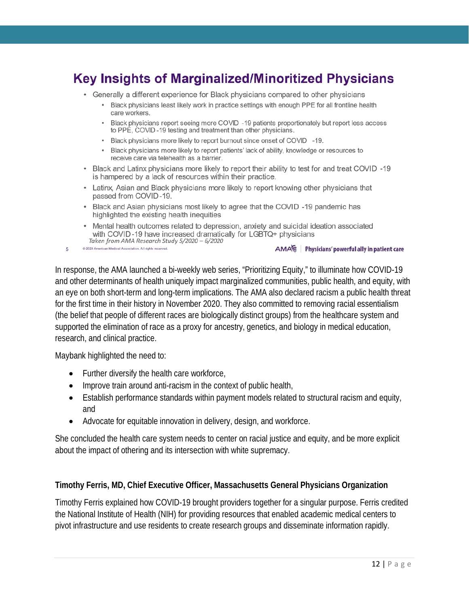# **Key Insights of Marginalized/Minoritized Physicians**

- Generally a different experience for Black physicians compared to other physicians
	- Black physicians least likely work in practice settings with enough PPE for all frontline health care workers.
	- Black physicians report seeing more COVID -19 patients proportionately but report less access to PPE, COVID-19 testing and treatment than other physicians.
	- Black physicians more likely to report burnout since onset of COVID -19.
	- . Black physicians more likely to report patients' lack of ability, knowledge or resources to receive care via telehealth as a barrier.
- Black and Latinx physicians more likely to report their ability to test for and treat COVID -19 is hampered by a lack of resources within their practice.
- Latinx, Asian and Black physicians more likely to report knowing other physicians that passed from COVID-19.
- Black and Asian physicians most likely to agree that the COVID -19 pandemic has highlighted the existing health inequities
- Mental health outcomes related to depression, anxiety and suicidal ideation associated with COVID-19 have increased dramatically for LGBTQ+ physicians Taken from AMA Research Study 5/2020 - 6/2020
- @ 2020 American Medical Association. All rights reserved. 5

AMA Physicians' powerful ally in patient care

In response, the AMA launched a bi-weekly web series, "Prioritizing Equity," to illuminate how COVID-19 and other determinants of health uniquely impact marginalized communities, public health, and equity, with an eye on both short-term and long-term implications. The AMA also declared racism a public health threat for the first time in their history in November 2020. They also committed to removing racial essentialism (the belief that people of different races are biologically distinct groups) from the healthcare system and supported the elimination of race as a proxy for ancestry, genetics, and biology in medical education, research, and clinical practice.

Maybank highlighted the need to:

- Further diversify the health care workforce,
- Improve train around anti-racism in the context of public health,
- Establish performance standards within payment models related to structural racism and equity, and
- Advocate for equitable innovation in delivery, design, and workforce.

She concluded the health care system needs to center on racial justice and equity, and be more explicit about the impact of othering and its intersection with white supremacy.

### **Timothy Ferris, MD, Chief Executive Officer, Massachusetts General Physicians Organization**

Timothy Ferris explained how COVID-19 brought providers together for a singular purpose. Ferris credited the National Institute of Health (NIH) for providing resources that enabled academic medical centers to pivot infrastructure and use residents to create research groups and disseminate information rapidly.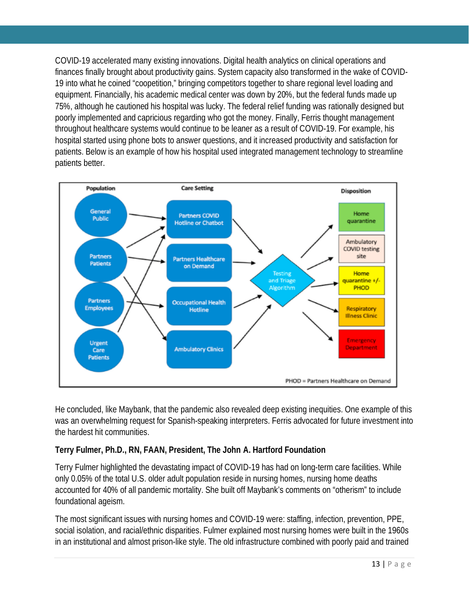COVID-19 accelerated many existing innovations. Digital health analytics on clinical operations and finances finally brought about productivity gains. System capacity also transformed in the wake of COVID-19 into what he coined "coopetition," bringing competitors together to share regional level loading and equipment. Financially, his academic medical center was down by 20%, but the federal funds made up 75%, although he cautioned his hospital was lucky. The federal relief funding was rationally designed but poorly implemented and capricious regarding who got the money. Finally, Ferris thought management throughout healthcare systems would continue to be leaner as a result of COVID-19. For example, his hospital started using phone bots to answer questions, and it increased productivity and satisfaction for patients. Below is an example of how his hospital used integrated management technology to streamline patients better.



He concluded, like Maybank, that the pandemic also revealed deep existing inequities. One example of this was an overwhelming request for Spanish-speaking interpreters. Ferris advocated for future investment into the hardest hit communities.

# **Terry Fulmer, Ph.D., RN, FAAN, President, The John A. Hartford Foundation**

Terry Fulmer highlighted the devastating impact of COVID-19 has had on long-term care facilities. While only 0.05% of the total U.S. older adult population reside in nursing homes, nursing home deaths accounted for 40% of all pandemic mortality. She built off Maybank's comments on "otherism" to include foundational ageism.

The most significant issues with nursing homes and COVID-19 were: staffing, infection, prevention, PPE, social isolation, and racial/ethnic disparities. Fulmer explained most nursing homes were built in the 1960s in an institutional and almost prison-like style. The old infrastructure combined with poorly paid and trained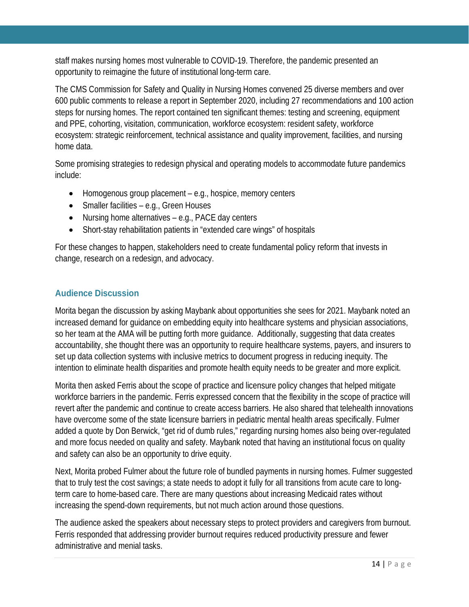staff makes nursing homes most vulnerable to COVID-19. Therefore, the pandemic presented an opportunity to reimagine the future of institutional long-term care.

The CMS Commission for Safety and Quality in Nursing Homes convened 25 diverse members and over 600 public comments to release a report in September 2020, including 27 recommendations and 100 action steps for nursing homes. The report contained ten significant themes: testing and screening, equipment and PPE, cohorting, visitation, communication, workforce ecosystem: resident safety, workforce ecosystem: strategic reinforcement, technical assistance and quality improvement, facilities, and nursing home data.

Some promising strategies to redesign physical and operating models to accommodate future pandemics include:

- Homogenous group placement e.g., hospice, memory centers
- Smaller facilities e.g., Green Houses
- Nursing home alternatives e.g., PACE day centers
- Short-stay rehabilitation patients in "extended care wings" of hospitals

For these changes to happen, stakeholders need to create fundamental policy reform that invests in change, research on a redesign, and advocacy.

# **Audience Discussion**

Morita began the discussion by asking Maybank about opportunities she sees for 2021. Maybank noted an increased demand for guidance on embedding equity into healthcare systems and physician associations, so her team at the AMA will be putting forth more guidance. Additionally, suggesting that data creates accountability, she thought there was an opportunity to require healthcare systems, payers, and insurers to set up data collection systems with inclusive metrics to document progress in reducing inequity. The intention to eliminate health disparities and promote health equity needs to be greater and more explicit.

Morita then asked Ferris about the scope of practice and licensure policy changes that helped mitigate workforce barriers in the pandemic. Ferris expressed concern that the flexibility in the scope of practice will revert after the pandemic and continue to create access barriers. He also shared that telehealth innovations have overcome some of the state licensure barriers in pediatric mental health areas specifically. Fulmer added a quote by Don Berwick, "get rid of dumb rules," regarding nursing homes also being over-regulated and more focus needed on quality and safety. Maybank noted that having an institutional focus on quality and safety can also be an opportunity to drive equity.

Next, Morita probed Fulmer about the future role of bundled payments in nursing homes. Fulmer suggested that to truly test the cost savings; a state needs to adopt it fully for all transitions from acute care to longterm care to home-based care. There are many questions about increasing Medicaid rates without increasing the spend-down requirements, but not much action around those questions.

The audience asked the speakers about necessary steps to protect providers and caregivers from burnout. Ferris responded that addressing provider burnout requires reduced productivity pressure and fewer administrative and menial tasks.